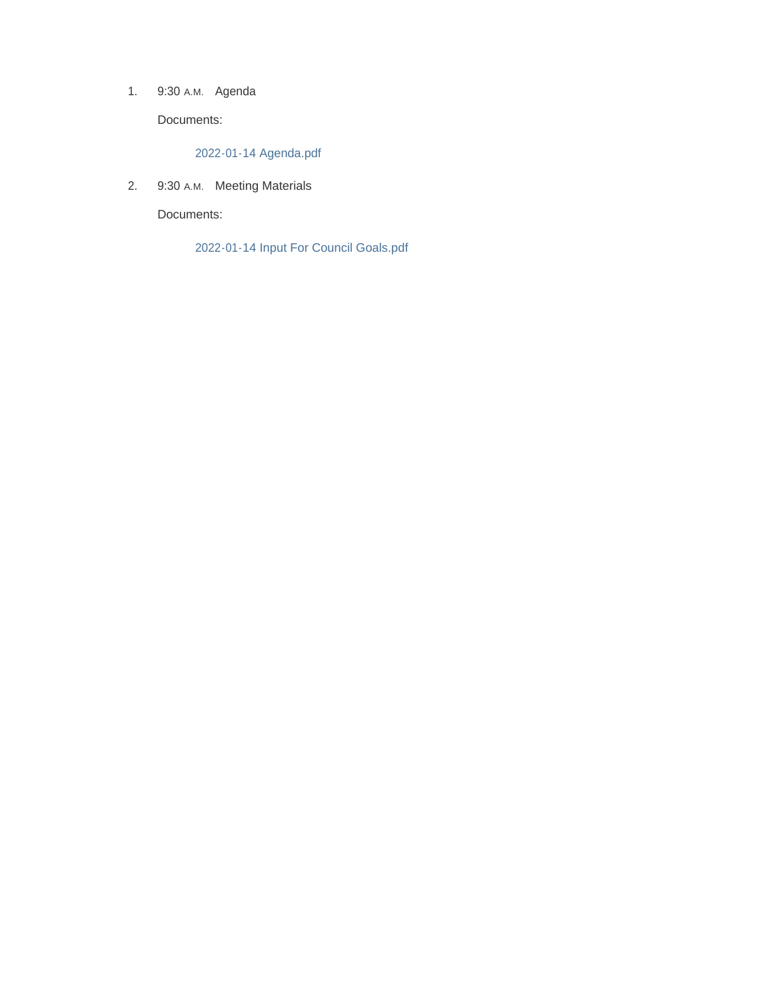1. 9:30 A.M. Agenda

Documents:

2022-01-14 Agenda.pdf

2. 9:30 A.M. Meeting Materials

Documents:

2022-01-14 Input For Council Goals.pdf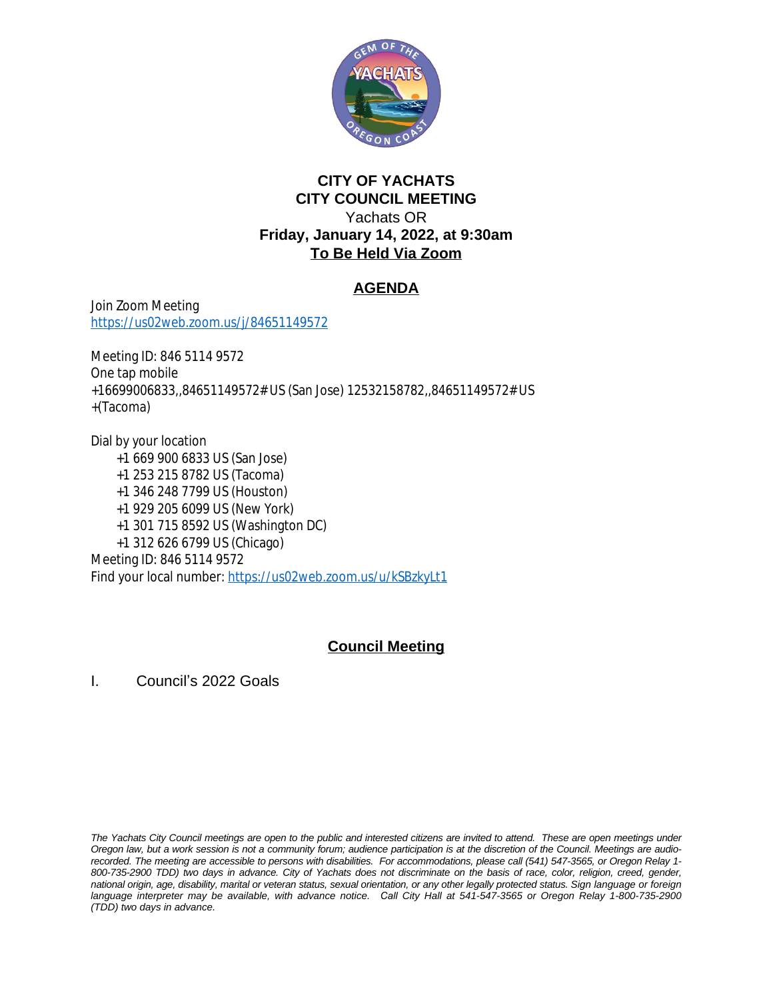

## **CITY OF YACHATS CITY COUNCIL MEETING** Yachats OR **Friday, January 14, 2022, at 9:30am To Be Held Via Zoom**

## **AGENDA**

Join Zoom Meeting <https://us02web.zoom.us/j/84651149572>

Meeting ID: 846 5114 9572 One tap mobile +16699006833,,84651149572# US (San Jose) 12532158782,,84651149572# US +(Tacoma)

Dial by your location +1 669 900 6833 US (San Jose) +1 253 215 8782 US (Tacoma) +1 346 248 7799 US (Houston) +1 929 205 6099 US (New York) +1 301 715 8592 US (Washington DC) +1 312 626 6799 US (Chicago) Meeting ID: 846 5114 9572 Find your local number: <https://us02web.zoom.us/u/kSBzkyLt1>

## **Council Meeting**

I. Council's 2022 Goals

The Yachats City Council meetings are open to the public and interested citizens are invited to attend. These are open meetings under Oregon law, but a work session is not a community forum; audience participation is at the discretion of the Council. Meetings are audiorecorded. The meeting are accessible to persons with disabilities. For accommodations, please call (541) 547-3565, or Oregon Relay 1-800-735-2900 TDD) two days in advance. City of Yachats does not discriminate on the basis of race, color, religion, creed, gender, national origin, age, disability, marital or veteran status, sexual orientation, or any other legally protected status. Sign language or foreign language interpreter may be available, with advance notice. Call City Hall at 541-547-3565 or Oregon Relay 1-800-735-2900 *(TDD) two days in advance.*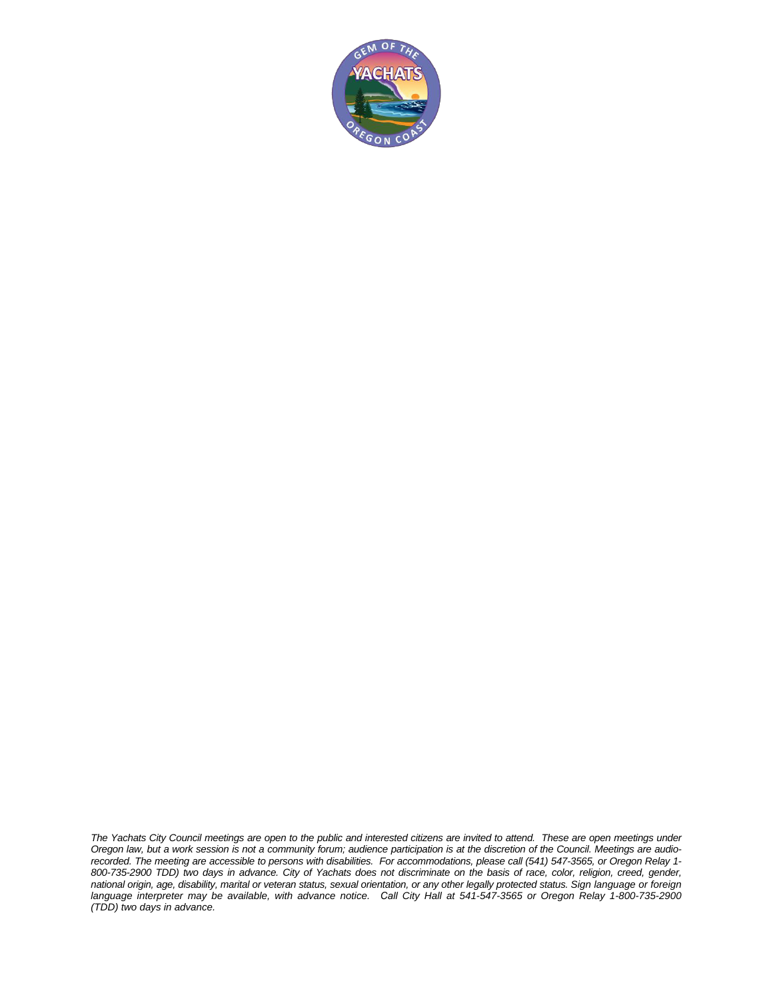

The Yachats City Council meetings are open to the public and interested citizens are invited to attend. These are open meetings under Oregon law, but a work session is not a community forum; audience participation is at the discretion of the Council. Meetings are audiorecorded. The meeting are accessible to persons with disabilities. For accommodations, please call (541) 547-3565, or Oregon Relay 1-800-735-2900 TDD) two days in advance. City of Yachats does not discriminate on the basis of race, color, religion, creed, gender, national origin, age, disability, marital or veteran status, sexual orientation, or any other legally protected status. Sign language or foreign language interpreter may be available, with advance notice. Call City Hall at 541-547-3565 or Oregon Relay 1-800-735-2900 *(TDD) two days in advance.*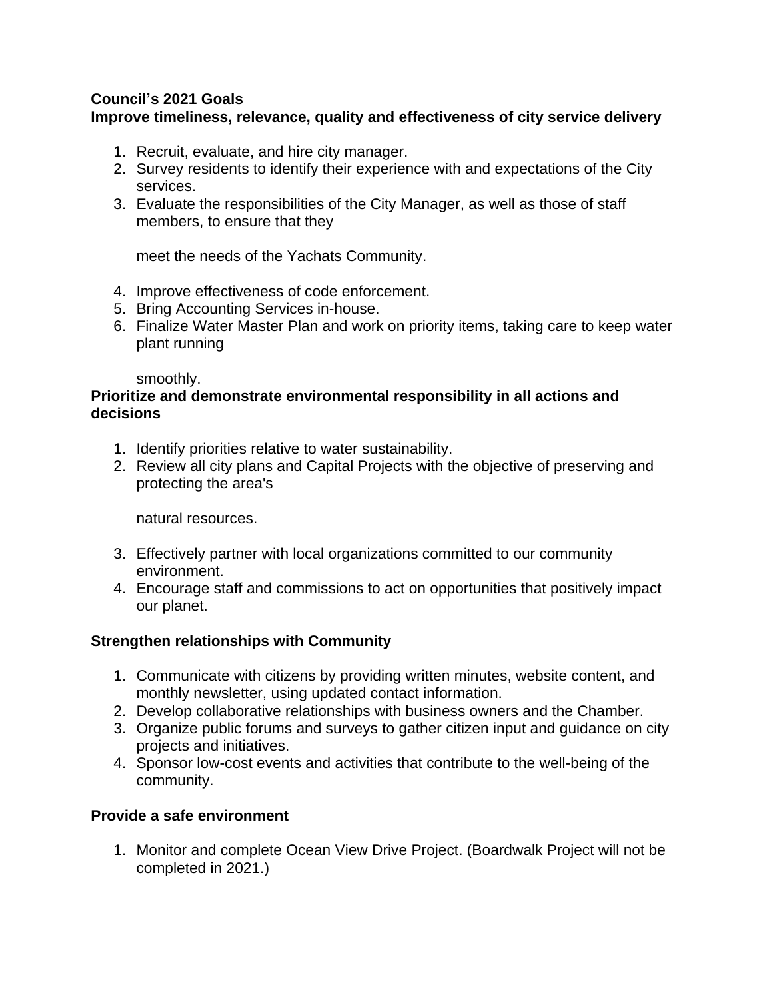## **Council's 2021 Goals**

## **Improve timeliness, relevance, quality and effectiveness of city service delivery**

- 1. Recruit, evaluate, and hire city manager.
- 2. Survey residents to identify their experience with and expectations of the City services.
- 3. Evaluate the responsibilities of the City Manager, as well as those of staff members, to ensure that they

meet the needs of the Yachats Community.

- 4. Improve effectiveness of code enforcement.
- 5. Bring Accounting Services in-house.
- 6. Finalize Water Master Plan and work on priority items, taking care to keep water plant running

smoothly.

#### **Prioritize and demonstrate environmental responsibility in all actions and decisions**

- 1. Identify priorities relative to water sustainability.
- 2. Review all city plans and Capital Projects with the objective of preserving and protecting the area's

natural resources.

- 3. Effectively partner with local organizations committed to our community environment.
- 4. Encourage staff and commissions to act on opportunities that positively impact our planet.

## **Strengthen relationships with Community**

- 1. Communicate with citizens by providing written minutes, website content, and monthly newsletter, using updated contact information.
- 2. Develop collaborative relationships with business owners and the Chamber.
- 3. Organize public forums and surveys to gather citizen input and guidance on city projects and initiatives.
- 4. Sponsor low-cost events and activities that contribute to the well-being of the community.

## **Provide a safe environment**

1. Monitor and complete Ocean View Drive Project. (Boardwalk Project will not be completed in 2021.)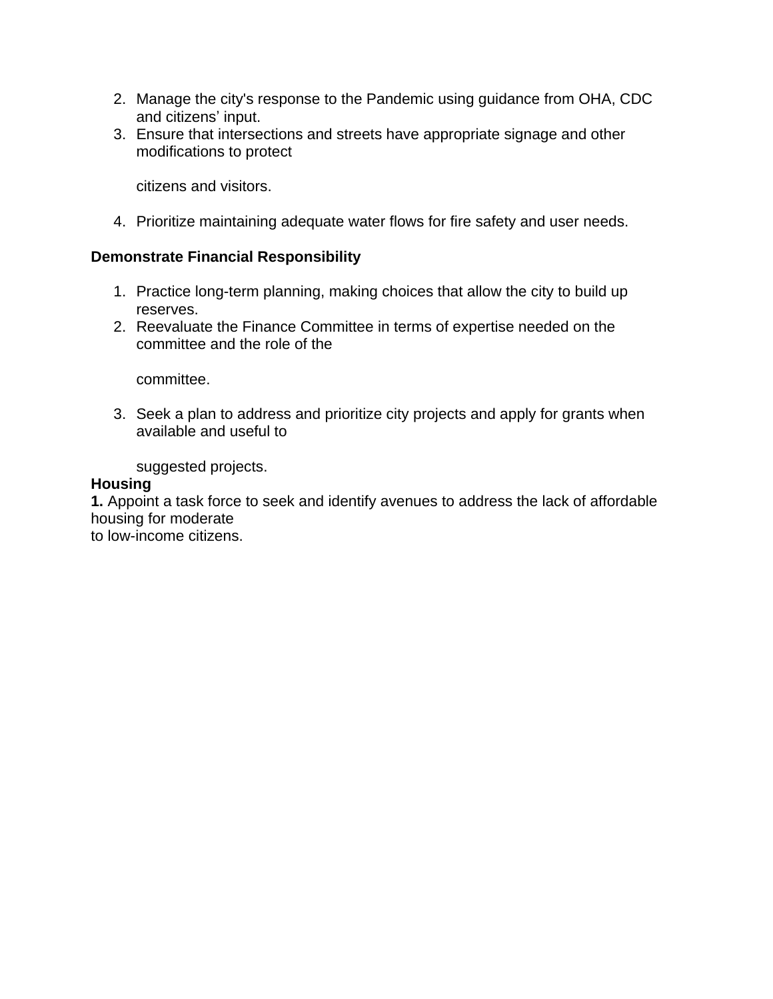- 2. Manage the city's response to the Pandemic using guidance from OHA, CDC and citizens' input.
- 3. Ensure that intersections and streets have appropriate signage and other modifications to protect

citizens and visitors.

4. Prioritize maintaining adequate water flows for fire safety and user needs.

### **Demonstrate Financial Responsibility**

- 1. Practice long-term planning, making choices that allow the city to build up reserves.
- 2. Reevaluate the Finance Committee in terms of expertise needed on the committee and the role of the

committee.

3. Seek a plan to address and prioritize city projects and apply for grants when available and useful to

suggested projects.

#### **Housing**

**1.** Appoint a task force to seek and identify avenues to address the lack of affordable housing for moderate

to low-income citizens.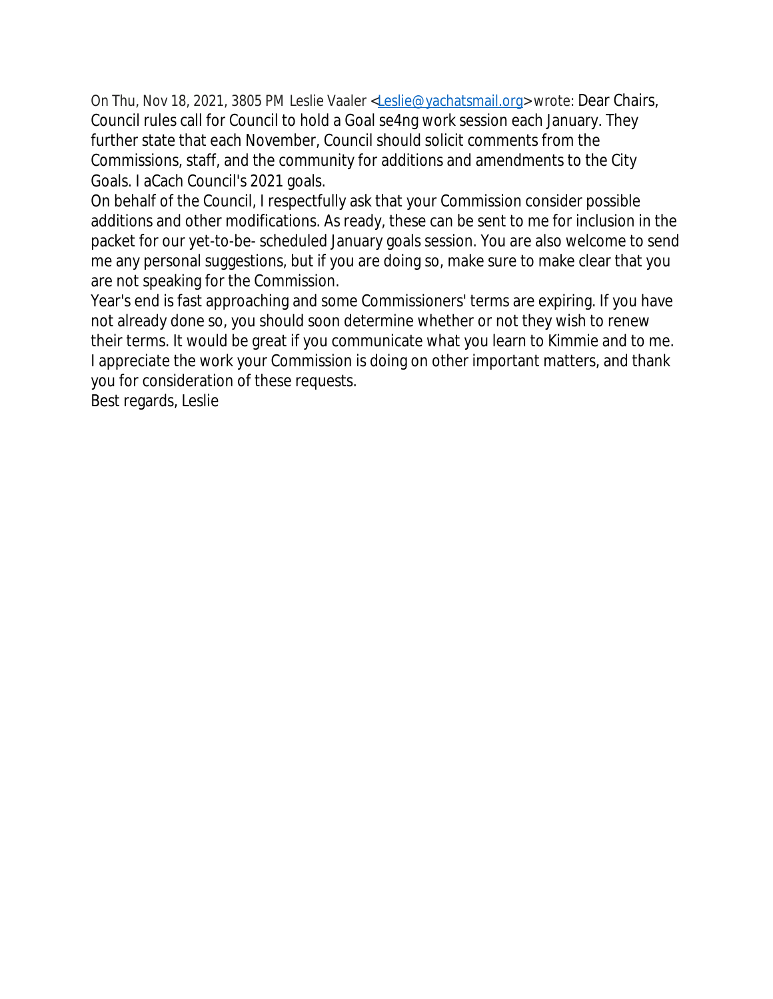On Thu, Nov 18, 2021, 3805 PM Leslie Vaaler [<Leslie@yachatsmail.org](mailto:Leslie@yachatsmail.org)> wrote: Dear Chairs, Council rules call for Council to hold a Goal se4ng work session each January. They further state that each November, Council should solicit comments from the Commissions, staff, and the community for additions and amendments to the City Goals. I aCach Council's 2021 goals.

On behalf of the Council, I respectfully ask that your Commission consider possible additions and other modifications. As ready, these can be sent to me for inclusion in the packet for our yet-to-be- scheduled January goals session. You are also welcome to send me any personal suggestions, but if you are doing so, make sure to make clear that you are not speaking for the Commission.

Year's end is fast approaching and some Commissioners' terms are expiring. If you have not already done so, you should soon determine whether or not they wish to renew their terms. It would be great if you communicate what you learn to Kimmie and to me. I appreciate the work your Commission is doing on other important matters, and thank you for consideration of these requests.

Best regards, Leslie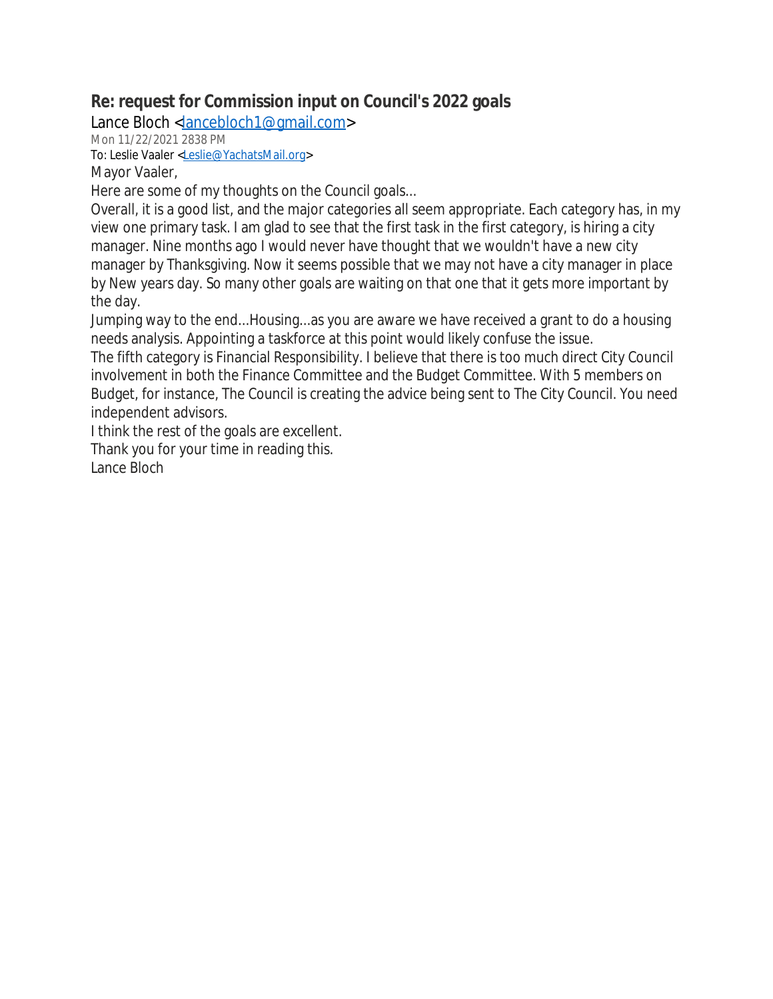## **Re: request for Commission input on Council's 2022 goals**

Lance Bloch [<lancebloch1@gmail.com](mailto:lancebloch1@gmail.com)>

Mon 11/22/2021 2838 PM

To: Leslie Vaaler [<Leslie@YachatsMail.org>](mailto:Leslie@YachatsMail.org)

Mayor Vaaler,

Here are some of my thoughts on the Council goals...

Overall, it is a good list, and the major categories all seem appropriate. Each category has, in my view one primary task. I am glad to see that the first task in the first category, is hiring a city manager. Nine months ago I would never have thought that we wouldn't have a new city manager by Thanksgiving. Now it seems possible that we may not have a city manager in place by New years day. So many other goals are waiting on that one that it gets more important by the day.

Jumping way to the end...Housing...as you are aware we have received a grant to do a housing needs analysis. Appointing a taskforce at this point would likely confuse the issue.

The fifth category is Financial Responsibility. I believe that there is too much direct City Council involvement in both the Finance Committee and the Budget Committee. With 5 members on Budget, for instance, The Council is creating the advice being sent to The City Council. You need independent advisors.

I think the rest of the goals are excellent.

Thank you for your time in reading this. Lance Bloch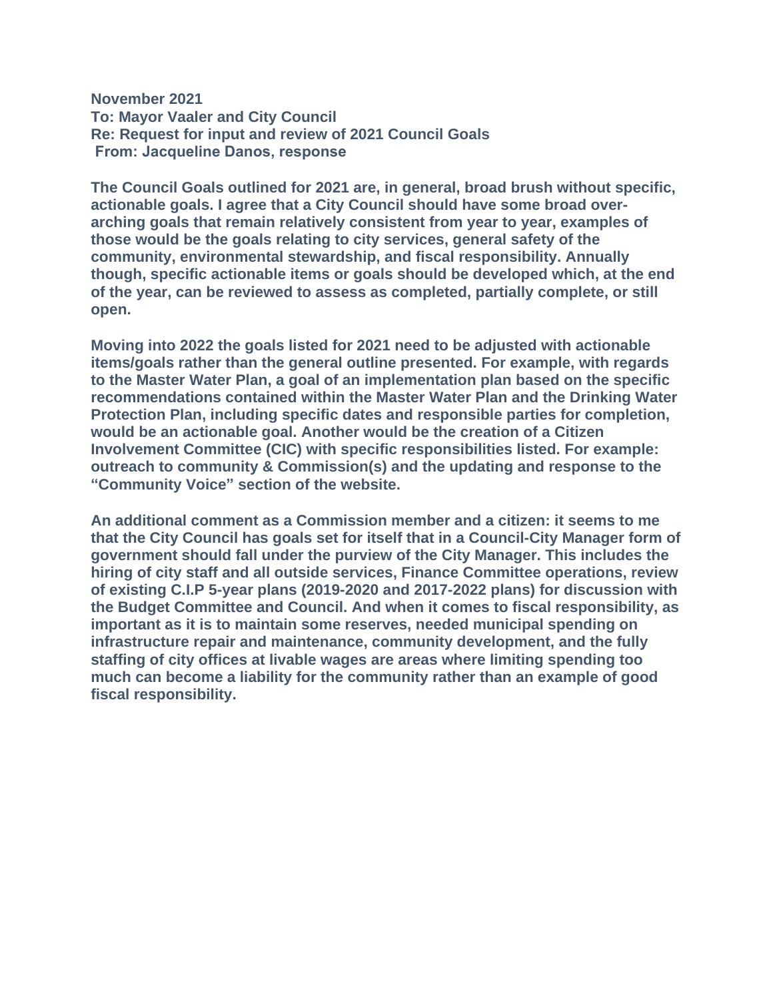**November 2021 To: Mayor Vaaler and City Council Re: Request for input and review of 2021 Council Goals From: Jacqueline Danos, response**

**The Council Goals outlined for 2021 are, in general, broad brush without specific, actionable goals. I agree that a City Council should have some broad overarching goals that remain relatively consistent from year to year, examples of those would be the goals relating to city services, general safety of the community, environmental stewardship, and fiscal responsibility. Annually though, specific actionable items or goals should be developed which, at the end of the year, can be reviewed to assess as completed, partially complete, or still open.**

**Moving into 2022 the goals listed for 2021 need to be adjusted with actionable items/goals rather than the general outline presented. For example, with regards to the Master Water Plan, a goal of an implementation plan based on the specific recommendations contained within the Master Water Plan and the Drinking Water Protection Plan, including specific dates and responsible parties for completion, would be an actionable goal. Another would be the creation of a Citizen Involvement Committee (CIC) with specific responsibilities listed. For example: outreach to community & Commission(s) and the updating and response to the "Community Voice" section of the website.**

**An additional comment as a Commission member and a citizen: it seems to me that the City Council has goals set for itself that in a Council-City Manager form of government should fall under the purview of the City Manager. This includes the hiring of city staff and all outside services, Finance Committee operations, review of existing C.I.P 5-year plans (2019-2020 and 2017-2022 plans) for discussion with the Budget Committee and Council. And when it comes to fiscal responsibility, as important as it is to maintain some reserves, needed municipal spending on infrastructure repair and maintenance, community development, and the fully staffing of city offices at livable wages are areas where limiting spending too much can become a liability for the community rather than an example of good fiscal responsibility.**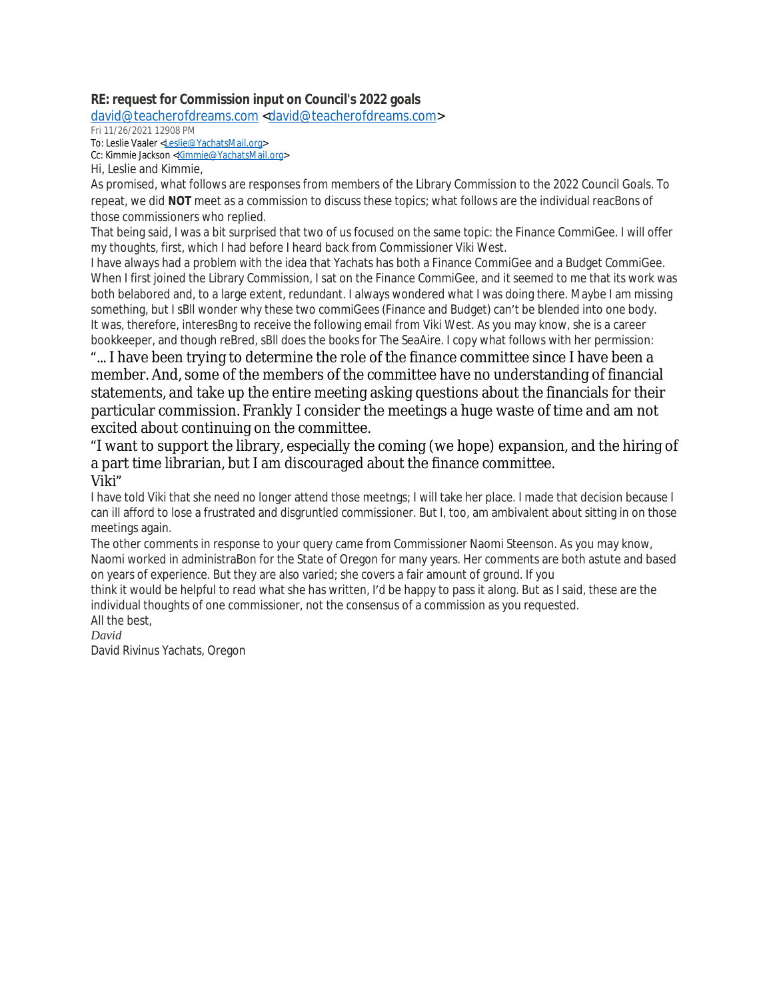#### **RE: request for Commission input on Council's 2022 goals**

[david@teacherofdreams.com](mailto:david@teacherofdreams.com) <[david@teacherofdreams.com>](mailto:david@teacherofdreams.com)

Fri 11/26/2021 12908 PM

To: Leslie Vaaler <[Leslie@YachatsMail.org>](mailto:Leslie@YachatsMail.org)

Cc: Kimmie Jackson <[Kimmie@YachatsMail.org>](mailto:Kimmie@YachatsMail.org)

Hi, Leslie and Kimmie,

As promised, what follows are responses from members of the Library Commission to the 2022 Council Goals. To repeat, we did *NOT* meet as a commission to discuss these topics; what follows are the individual reacBons of those commissioners who replied.

That being said, I was a bit surprised that two of us focused on the same topic: the Finance CommiGee. I will offer my thoughts, first, which I had before I heard back from Commissioner Viki West.

I have always had a problem with the idea that Yachats has both a Finance CommiGee and a Budget CommiGee. When I first joined the Library Commission, I sat on the Finance CommiGee, and it seemed to me that its work was both belabored and, to a large extent, redundant. I always wondered what I was doing there. Maybe I am missing something, but I sBll wonder why these two commiGees (Finance and Budget) can't be blended into one body. It was, therefore, interesBng to receive the following email from Viki West. As you may know, she is a career bookkeeper, and though reBred, sBll does the books for The SeaAire. I copy what follows with her permission:

"... I have been trying to determine the role of the finance committee since I have been a member. And, some of the members of the committee have no understanding of financial statements, and take up the entire meeting asking questions about the financials for their particular commission. Frankly I consider the meetings a huge waste of time and am not excited about continuing on the committee.

"I want to support the library, especially the coming (we hope) expansion, and the hiring of a part time librarian, but I am discouraged about the finance committee. Viki"

I have told Viki that she need no longer attend those meetngs; I will take her place. I made that decision because I can ill afford to lose a frustrated and disgruntled commissioner. But I, too, am ambivalent about sitting in on those meetings again.

The other comments in response to your query came from Commissioner Naomi Steenson. As you may know, Naomi worked in administraBon for the State of Oregon for many years. Her comments are both astute and based on years of experience. But they are also varied; she covers a fair amount of ground. If you

think it would be helpful to read what she has written, I'd be happy to pass it along. But as I said, these are the individual thoughts of one commissioner, not the consensus of a commission as you requested. All the best,

*David*

David Rivinus Yachats, Oregon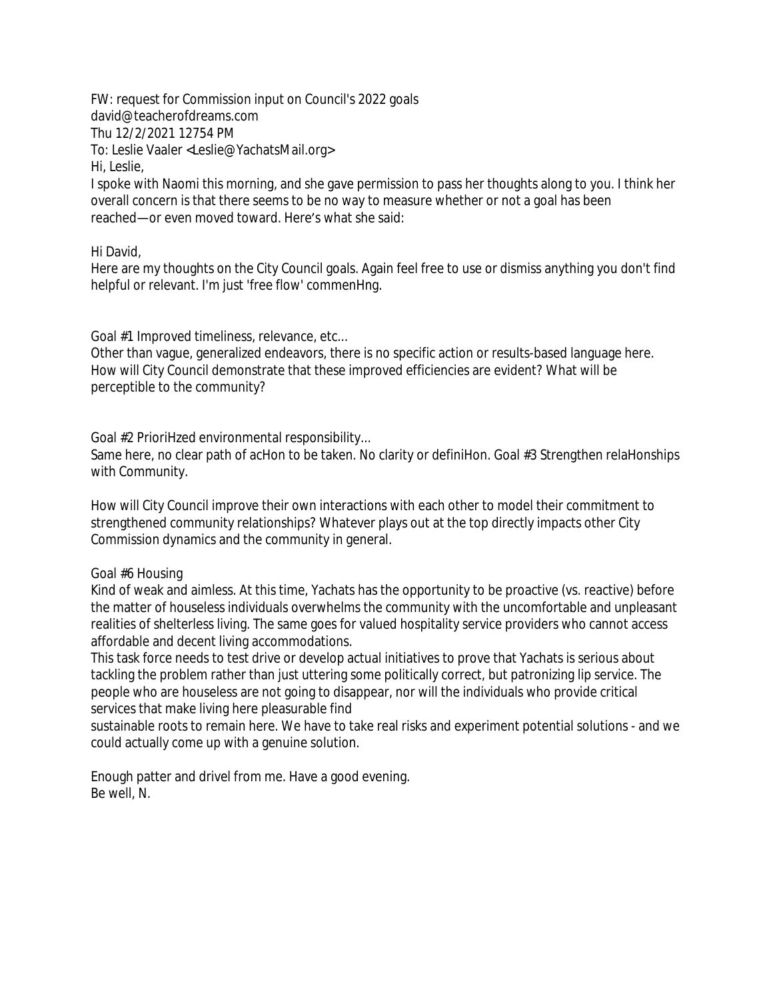FW: request for Commission input on Council's 2022 goals david@teacherofdreams.com Thu 12/2/2021 12754 PM To: Leslie Vaaler <Leslie@YachatsMail.org> Hi, Leslie,

I spoke with Naomi this morning, and she gave permission to pass her thoughts along to you. I think her overall concern is that there seems to be no way to measure whether or not a goal has been reached—or even moved toward. Here's what she said:

#### Hi David,

Here are my thoughts on the City Council goals. Again feel free to use or dismiss anything you don't find helpful or relevant. I'm just 'free flow' commenHng.

Goal #1 Improved timeliness, relevance, etc...

Other than vague, generalized endeavors, there is no specific action or results-based language here. How will City Council demonstrate that these improved efficiencies are evident? What will be perceptible to the community?

Goal #2 PrioriHzed environmental responsibility...

Same here, no clear path of acHon to be taken. No clarity or definiHon. Goal #3 Strengthen relaHonships with Community.

How will City Council improve their own interactions with each other to model their commitment to strengthened community relationships? Whatever plays out at the top directly impacts other City Commission dynamics and the community in general.

#### Goal #6 Housing

Kind of weak and aimless. At this time, Yachats has the opportunity to be proactive (vs. reactive) before the matter of houseless individuals overwhelms the community with the uncomfortable and unpleasant realities of shelterless living. The same goes for valued hospitality service providers who cannot access affordable and decent living accommodations.

This task force needs to test drive or develop actual initiatives to prove that Yachats is serious about tackling the problem rather than just uttering some politically correct, but patronizing lip service. The people who are houseless are not going to disappear, nor will the individuals who provide critical services that make living here pleasurable find

sustainable roots to remain here. We have to take real risks and experiment potential solutions - and we could actually come up with a genuine solution.

Enough patter and drivel from me. Have a good evening. Be well, N.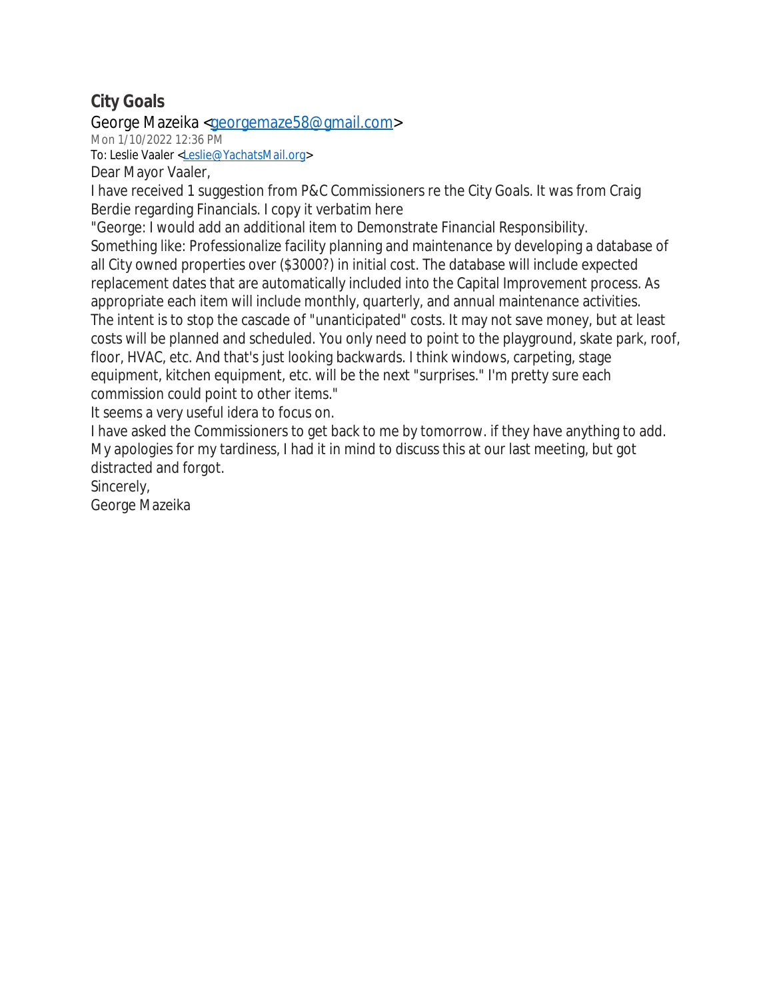# **City Goals**

George Mazeika [<georgemaze58@gmail.com](mailto:georgemaze58@gmail.com)>

Mon 1/10/2022 12:36 PM

To: Leslie Vaaler [<Leslie@YachatsMail.org>](mailto:Leslie@YachatsMail.org)

Dear Mayor Vaaler,

I have received 1 suggestion from P&C Commissioners re the City Goals. It was from Craig Berdie regarding Financials. I copy it verbatim here

"George: I would add an additional item to Demonstrate Financial Responsibility. Something like: Professionalize facility planning and maintenance by developing a database of all City owned properties over (\$3000?) in initial cost. The database will include expected replacement dates that are automatically included into the Capital Improvement process. As appropriate each item will include monthly, quarterly, and annual maintenance activities. The intent is to stop the cascade of "unanticipated" costs. It may not save money, but at least costs will be planned and scheduled. You only need to point to the playground, skate park, roof, floor, HVAC, etc. And that's just looking backwards. I think windows, carpeting, stage equipment, kitchen equipment, etc. will be the next "surprises." I'm pretty sure each commission could point to other items."

It seems a very useful idera to focus on.

I have asked the Commissioners to get back to me by tomorrow. if they have anything to add. My apologies for my tardiness, I had it in mind to discuss this at our last meeting, but got distracted and forgot.

Sincerely,

George Mazeika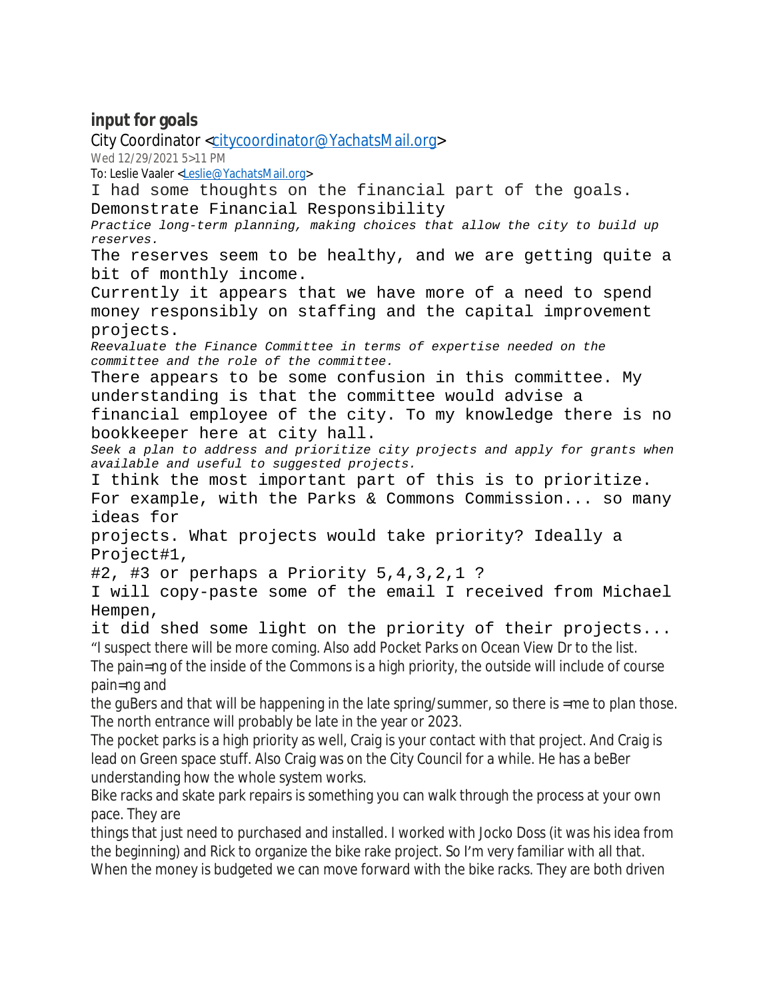## **input for goals**

City Coordinator [<citycoordinator@YachatsMail.org>](mailto:citycoordinator@YachatsMail.org) Wed 12/29/2021 5>11 PM To: Leslie Vaaler [<Leslie@YachatsMail.org>](mailto:Leslie@YachatsMail.org) I had some thoughts on the financial part of the goals. Demonstrate Financial Responsibility *Practice long-term planning, making choices that allow the city to build up reserves.* The reserves seem to be healthy, and we are getting quite a bit of monthly income. Currently it appears that we have more of a need to spend money responsibly on staffing and the capital improvement projects. *Reevaluate the Finance Committee in terms of expertise needed on the committee and the role of the committee.* There appears to be some confusion in this committee. My understanding is that the committee would advise a financial employee of the city. To my knowledge there is no bookkeeper here at city hall. *Seek a plan to address and prioritize city projects and apply for grants when available and useful to suggested projects.* I think the most important part of this is to prioritize. For example, with the Parks & Commons Commission... so many ideas for projects. What projects would take priority? Ideally a Project#1,  $#2, #3$  or perhaps a Priority  $5,4,3,2,1$  ? I will copy-paste some of the email I received from Michael Hempen, it did shed some light on the priority of their projects... "I suspect there will be more coming. Also add Pocket Parks on Ocean View Dr to the list. The pain=ng of the inside of the Commons is a high priority, the outside will include of course pain=ng and the guBers and that will be happening in the late spring/summer, so there is =me to plan those. The north entrance will probably be late in the year or 2023. The pocket parks is a high priority as well, Craig is your contact with that project. And Craig is lead on Green space stuff. Also Craig was on the City Council for a while. He has a beBer understanding how the whole system works. Bike racks and skate park repairs is something you can walk through the process at your own pace. They are things that just need to purchased and installed. I worked with Jocko Doss (it was his idea from the beginning) and Rick to organize the bike rake project. So I'm very familiar with all that. When the money is budgeted we can move forward with the bike racks. They are both driven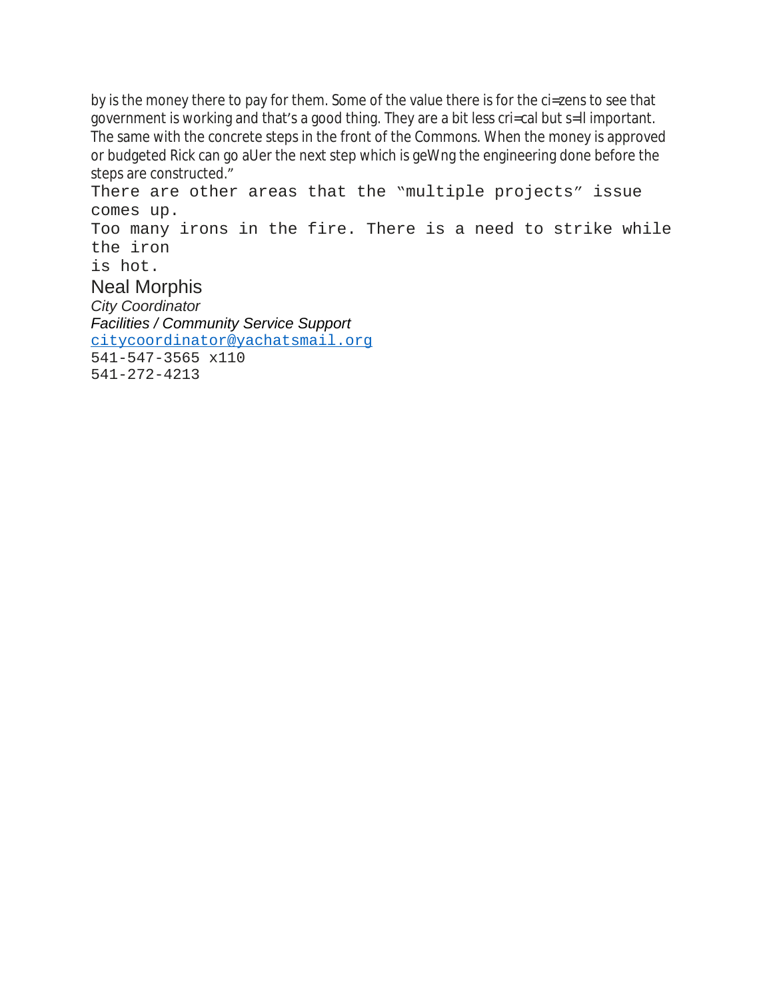by is the money there to pay for them. Some of the value there is for the ci=zens to see that government is working and that's a good thing. They are a bit less cri=cal but s=ll important. The same with the concrete steps in the front of the Commons. When the money is approved or budgeted Rick can go aUer the next step which is geWng the engineering done before the steps are constructed."

There are other areas that the "multiple projects" issue comes up. Too many irons in the fire. There is a need to strike while the iron is hot. Neal Morphis *City Coordinator Facilities / Community Service Support* [citycoordinator@yachatsmail.org](mailto:citycoordinator@yachatsmail.org) 541-547-3565 x110 541-272-4213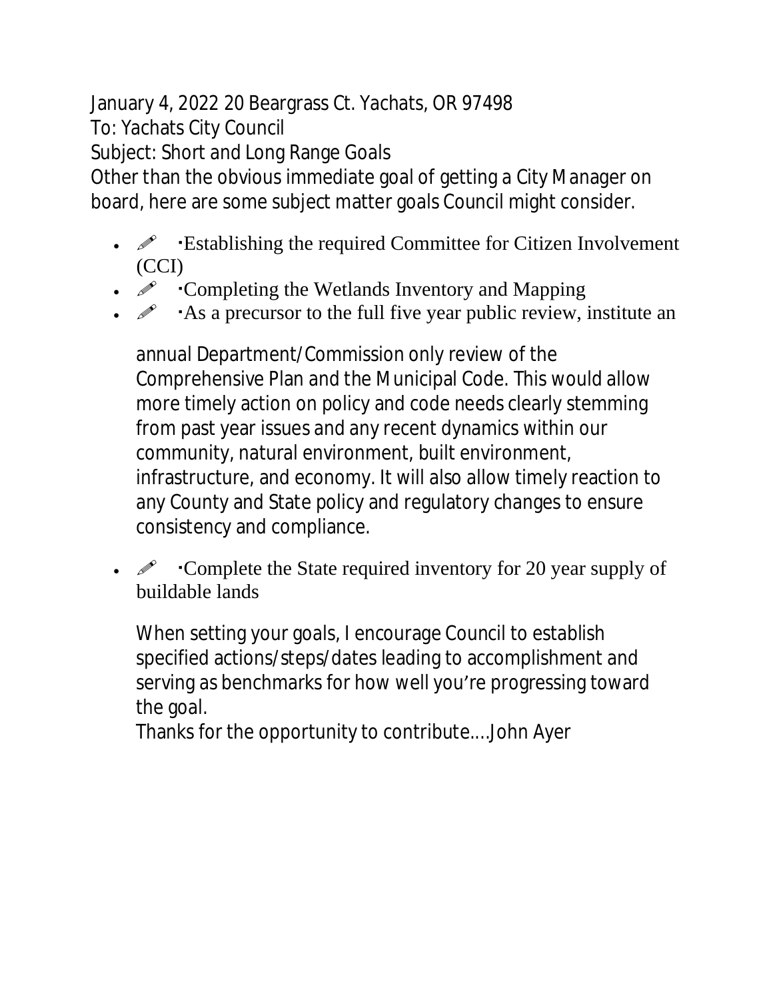January 4, 2022 20 Beargrass Ct. Yachats, OR 97498 To: Yachats City Council Subject: Short and Long Range Goals

Other than the obvious immediate goal of getting a City Manager on board, here are some subject matter goals Council might consider.

- $\mathscr{P}$  Establishing the required Committee for Citizen Involvement (CCI)
- $\mathscr{P}$  Completing the Wetlands Inventory and Mapping
- As a precursor to the full five year public review, institute an

annual Department/Commission only review of the Comprehensive Plan and the Municipal Code. This would allow more timely action on policy and code needs clearly stemming from past year issues and any recent dynamics within our community, natural environment, built environment, infrastructure, and economy. It will also allow timely reaction to any County and State policy and regulatory changes to ensure consistency and compliance.

 $\mathscr{P}$  Complete the State required inventory for 20 year supply of buildable lands

When setting your goals, I encourage Council to establish specified actions/steps/dates leading to accomplishment and serving as benchmarks for how well you're progressing toward the goal.

Thanks for the opportunity to contribute....John Ayer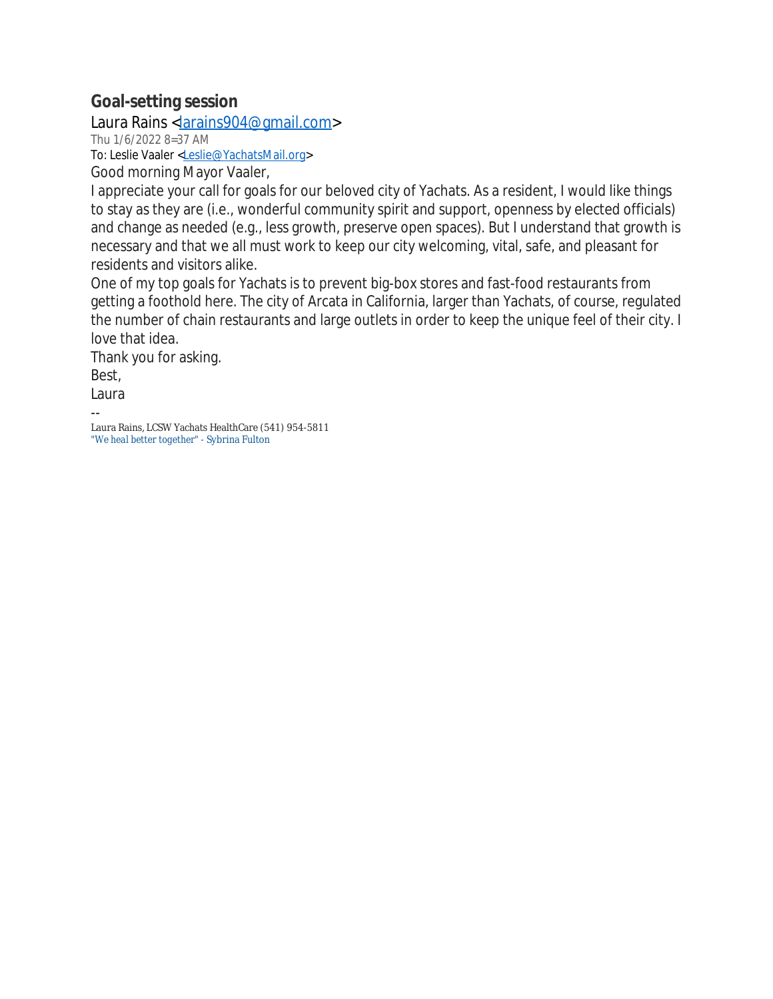## **Goal-setting session**

Laura Rains <[larains904@gmail.com>](mailto:larains904@gmail.com)

Thu 1/6/2022 8=37 AM

To: Leslie Vaaler [<Leslie@YachatsMail.org>](mailto:Leslie@YachatsMail.org)

Good morning Mayor Vaaler,

I appreciate your call for goals for our beloved city of Yachats. As a resident, I would like things to stay as they are (i.e., wonderful community spirit and support, openness by elected officials) and change as needed (e.g., less growth, preserve open spaces). But I understand that growth is necessary and that we all must work to keep our city welcoming, vital, safe, and pleasant for residents and visitors alike.

One of my top goals for Yachats is to prevent big-box stores and fast-food restaurants from getting a foothold here. The city of Arcata in California, larger than Yachats, of course, regulated the number of chain restaurants and large outlets in order to keep the unique feel of their city. I love that idea.

Thank you for asking. Best, Laura

-- Laura Rains, LCSW Yachats HealthCare (541) 954-5811 *"We heal better together"* - Sybrina Fulton